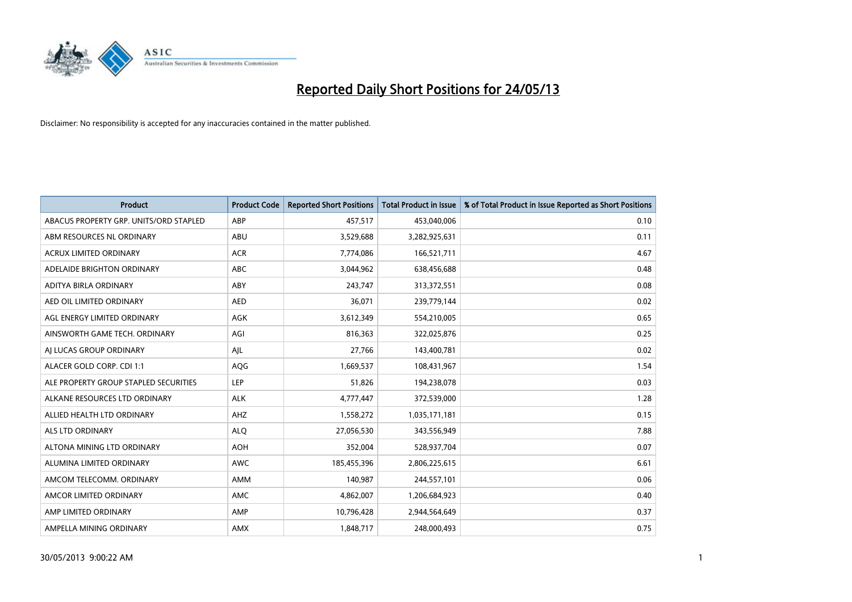

| <b>Product</b>                         | <b>Product Code</b> | <b>Reported Short Positions</b> | <b>Total Product in Issue</b> | % of Total Product in Issue Reported as Short Positions |
|----------------------------------------|---------------------|---------------------------------|-------------------------------|---------------------------------------------------------|
| ABACUS PROPERTY GRP. UNITS/ORD STAPLED | ABP                 | 457,517                         | 453,040,006                   | 0.10                                                    |
| ABM RESOURCES NL ORDINARY              | ABU                 | 3,529,688                       | 3,282,925,631                 | 0.11                                                    |
| <b>ACRUX LIMITED ORDINARY</b>          | <b>ACR</b>          | 7,774,086                       | 166,521,711                   | 4.67                                                    |
| ADELAIDE BRIGHTON ORDINARY             | <b>ABC</b>          | 3,044,962                       | 638,456,688                   | 0.48                                                    |
| ADITYA BIRLA ORDINARY                  | ABY                 | 243,747                         | 313,372,551                   | 0.08                                                    |
| AED OIL LIMITED ORDINARY               | <b>AED</b>          | 36,071                          | 239,779,144                   | 0.02                                                    |
| AGL ENERGY LIMITED ORDINARY            | AGK                 | 3,612,349                       | 554,210,005                   | 0.65                                                    |
| AINSWORTH GAME TECH. ORDINARY          | AGI                 | 816,363                         | 322,025,876                   | 0.25                                                    |
| AI LUCAS GROUP ORDINARY                | AJL                 | 27,766                          | 143,400,781                   | 0.02                                                    |
| ALACER GOLD CORP. CDI 1:1              | AQG                 | 1,669,537                       | 108,431,967                   | 1.54                                                    |
| ALE PROPERTY GROUP STAPLED SECURITIES  | <b>LEP</b>          | 51,826                          | 194,238,078                   | 0.03                                                    |
| ALKANE RESOURCES LTD ORDINARY          | <b>ALK</b>          | 4,777,447                       | 372,539,000                   | 1.28                                                    |
| ALLIED HEALTH LTD ORDINARY             | AHZ                 | 1,558,272                       | 1,035,171,181                 | 0.15                                                    |
| <b>ALS LTD ORDINARY</b>                | <b>ALO</b>          | 27,056,530                      | 343,556,949                   | 7.88                                                    |
| ALTONA MINING LTD ORDINARY             | <b>AOH</b>          | 352,004                         | 528,937,704                   | 0.07                                                    |
| ALUMINA LIMITED ORDINARY               | <b>AWC</b>          | 185,455,396                     | 2,806,225,615                 | 6.61                                                    |
| AMCOM TELECOMM. ORDINARY               | AMM                 | 140,987                         | 244,557,101                   | 0.06                                                    |
| AMCOR LIMITED ORDINARY                 | <b>AMC</b>          | 4,862,007                       | 1,206,684,923                 | 0.40                                                    |
| AMP LIMITED ORDINARY                   | AMP                 | 10,796,428                      | 2,944,564,649                 | 0.37                                                    |
| AMPELLA MINING ORDINARY                | AMX                 | 1,848,717                       | 248,000,493                   | 0.75                                                    |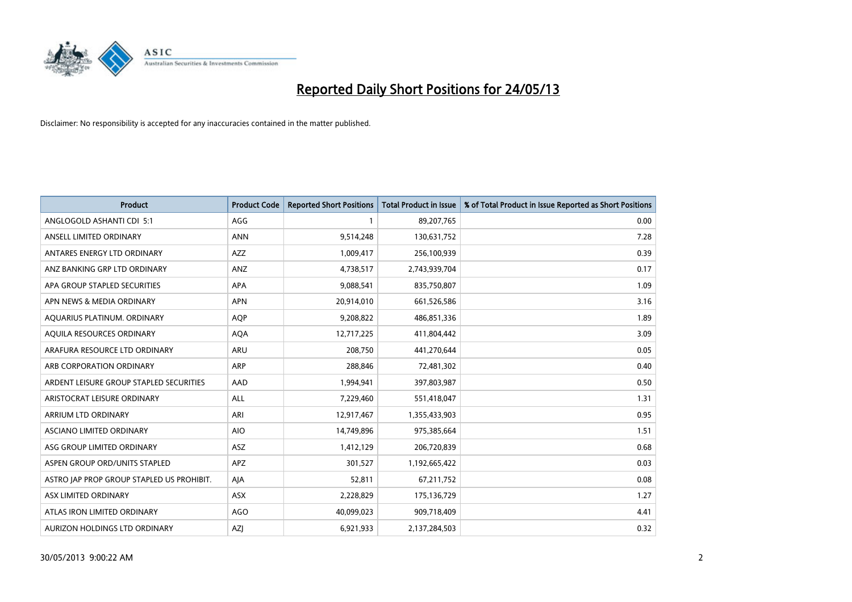

| <b>Product</b>                            | <b>Product Code</b> | <b>Reported Short Positions</b> | <b>Total Product in Issue</b> | % of Total Product in Issue Reported as Short Positions |
|-------------------------------------------|---------------------|---------------------------------|-------------------------------|---------------------------------------------------------|
| ANGLOGOLD ASHANTI CDI 5:1                 | AGG                 | $\mathbf{1}$                    | 89,207,765                    | 0.00                                                    |
| ANSELL LIMITED ORDINARY                   | <b>ANN</b>          | 9,514,248                       | 130,631,752                   | 7.28                                                    |
| ANTARES ENERGY LTD ORDINARY               | <b>AZZ</b>          | 1,009,417                       | 256,100,939                   | 0.39                                                    |
| ANZ BANKING GRP LTD ORDINARY              | ANZ                 | 4,738,517                       | 2,743,939,704                 | 0.17                                                    |
| APA GROUP STAPLED SECURITIES              | APA                 | 9,088,541                       | 835,750,807                   | 1.09                                                    |
| APN NEWS & MEDIA ORDINARY                 | <b>APN</b>          | 20,914,010                      | 661,526,586                   | 3.16                                                    |
| AQUARIUS PLATINUM. ORDINARY               | <b>AOP</b>          | 9,208,822                       | 486,851,336                   | 1.89                                                    |
| AQUILA RESOURCES ORDINARY                 | <b>AQA</b>          | 12,717,225                      | 411,804,442                   | 3.09                                                    |
| ARAFURA RESOURCE LTD ORDINARY             | <b>ARU</b>          | 208,750                         | 441,270,644                   | 0.05                                                    |
| ARB CORPORATION ORDINARY                  | ARP                 | 288,846                         | 72,481,302                    | 0.40                                                    |
| ARDENT LEISURE GROUP STAPLED SECURITIES   | AAD                 | 1,994,941                       | 397,803,987                   | 0.50                                                    |
| ARISTOCRAT LEISURE ORDINARY               | ALL                 | 7,229,460                       | 551,418,047                   | 1.31                                                    |
| ARRIUM LTD ORDINARY                       | ARI                 | 12,917,467                      | 1,355,433,903                 | 0.95                                                    |
| ASCIANO LIMITED ORDINARY                  | <b>AIO</b>          | 14,749,896                      | 975,385,664                   | 1.51                                                    |
| ASG GROUP LIMITED ORDINARY                | <b>ASZ</b>          | 1,412,129                       | 206,720,839                   | 0.68                                                    |
| ASPEN GROUP ORD/UNITS STAPLED             | APZ                 | 301,527                         | 1,192,665,422                 | 0.03                                                    |
| ASTRO JAP PROP GROUP STAPLED US PROHIBIT. | AJA                 | 52,811                          | 67,211,752                    | 0.08                                                    |
| ASX LIMITED ORDINARY                      | ASX                 | 2,228,829                       | 175,136,729                   | 1.27                                                    |
| ATLAS IRON LIMITED ORDINARY               | AGO                 | 40,099,023                      | 909,718,409                   | 4.41                                                    |
| AURIZON HOLDINGS LTD ORDINARY             | AZJ                 | 6,921,933                       | 2,137,284,503                 | 0.32                                                    |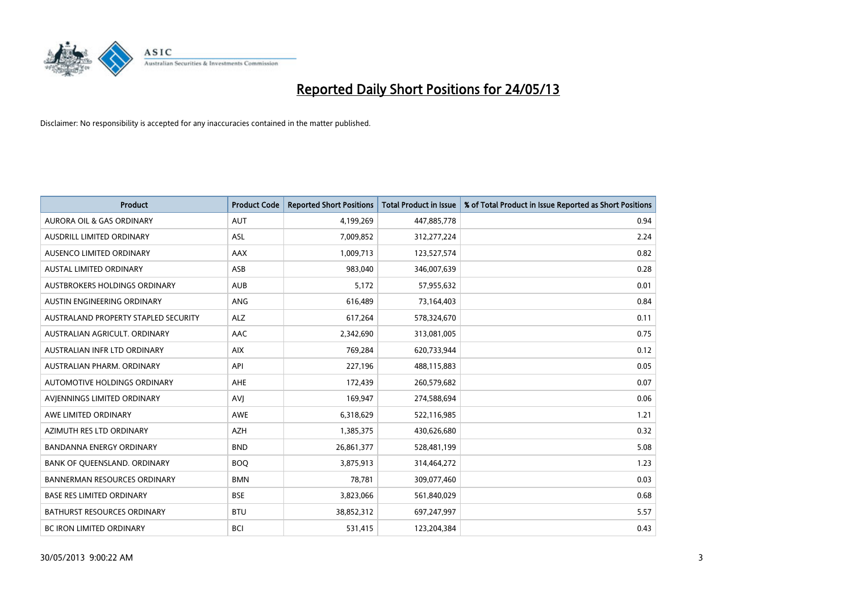

| Product                              | <b>Product Code</b> | <b>Reported Short Positions</b> | <b>Total Product in Issue</b> | % of Total Product in Issue Reported as Short Positions |
|--------------------------------------|---------------------|---------------------------------|-------------------------------|---------------------------------------------------------|
| <b>AURORA OIL &amp; GAS ORDINARY</b> | <b>AUT</b>          | 4,199,269                       | 447,885,778                   | 0.94                                                    |
| <b>AUSDRILL LIMITED ORDINARY</b>     | ASL                 | 7,009,852                       | 312,277,224                   | 2.24                                                    |
| <b>AUSENCO LIMITED ORDINARY</b>      | AAX                 | 1,009,713                       | 123,527,574                   | 0.82                                                    |
| AUSTAL LIMITED ORDINARY              | ASB                 | 983,040                         | 346,007,639                   | 0.28                                                    |
| <b>AUSTBROKERS HOLDINGS ORDINARY</b> | <b>AUB</b>          | 5,172                           | 57,955,632                    | 0.01                                                    |
| AUSTIN ENGINEERING ORDINARY          | ANG                 | 616,489                         | 73,164,403                    | 0.84                                                    |
| AUSTRALAND PROPERTY STAPLED SECURITY | <b>ALZ</b>          | 617,264                         | 578,324,670                   | 0.11                                                    |
| AUSTRALIAN AGRICULT, ORDINARY        | AAC                 | 2,342,690                       | 313,081,005                   | 0.75                                                    |
| AUSTRALIAN INFR LTD ORDINARY         | AIX                 | 769,284                         | 620,733,944                   | 0.12                                                    |
| AUSTRALIAN PHARM, ORDINARY           | API                 | 227,196                         | 488,115,883                   | 0.05                                                    |
| AUTOMOTIVE HOLDINGS ORDINARY         | AHE                 | 172,439                         | 260,579,682                   | 0.07                                                    |
| AVIENNINGS LIMITED ORDINARY          | <b>AVI</b>          | 169,947                         | 274,588,694                   | 0.06                                                    |
| AWE LIMITED ORDINARY                 | AWE                 | 6,318,629                       | 522,116,985                   | 1.21                                                    |
| AZIMUTH RES LTD ORDINARY             | <b>AZH</b>          | 1,385,375                       | 430,626,680                   | 0.32                                                    |
| <b>BANDANNA ENERGY ORDINARY</b>      | <b>BND</b>          | 26,861,377                      | 528,481,199                   | 5.08                                                    |
| BANK OF QUEENSLAND. ORDINARY         | <b>BOQ</b>          | 3,875,913                       | 314,464,272                   | 1.23                                                    |
| BANNERMAN RESOURCES ORDINARY         | <b>BMN</b>          | 78,781                          | 309,077,460                   | 0.03                                                    |
| BASE RES LIMITED ORDINARY            | <b>BSE</b>          | 3,823,066                       | 561,840,029                   | 0.68                                                    |
| <b>BATHURST RESOURCES ORDINARY</b>   | <b>BTU</b>          | 38,852,312                      | 697,247,997                   | 5.57                                                    |
| <b>BC IRON LIMITED ORDINARY</b>      | <b>BCI</b>          | 531,415                         | 123,204,384                   | 0.43                                                    |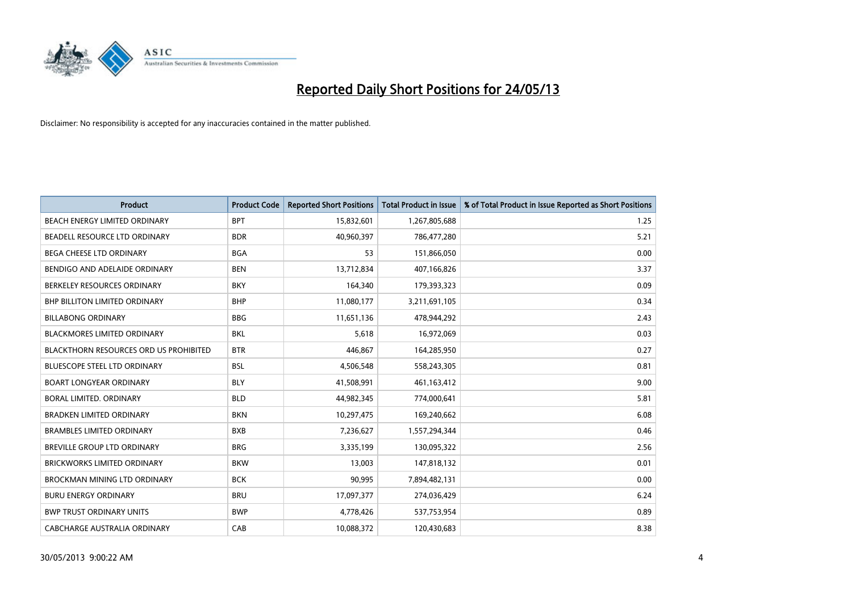

| <b>Product</b>                         | <b>Product Code</b> | <b>Reported Short Positions</b> | <b>Total Product in Issue</b> | % of Total Product in Issue Reported as Short Positions |
|----------------------------------------|---------------------|---------------------------------|-------------------------------|---------------------------------------------------------|
| BEACH ENERGY LIMITED ORDINARY          | <b>BPT</b>          | 15,832,601                      | 1,267,805,688                 | 1.25                                                    |
| BEADELL RESOURCE LTD ORDINARY          | <b>BDR</b>          | 40,960,397                      | 786,477,280                   | 5.21                                                    |
| <b>BEGA CHEESE LTD ORDINARY</b>        | <b>BGA</b>          | 53                              | 151,866,050                   | 0.00                                                    |
| BENDIGO AND ADELAIDE ORDINARY          | <b>BEN</b>          | 13,712,834                      | 407,166,826                   | 3.37                                                    |
| BERKELEY RESOURCES ORDINARY            | <b>BKY</b>          | 164,340                         | 179,393,323                   | 0.09                                                    |
| <b>BHP BILLITON LIMITED ORDINARY</b>   | <b>BHP</b>          | 11,080,177                      | 3,211,691,105                 | 0.34                                                    |
| <b>BILLABONG ORDINARY</b>              | <b>BBG</b>          | 11,651,136                      | 478,944,292                   | 2.43                                                    |
| <b>BLACKMORES LIMITED ORDINARY</b>     | <b>BKL</b>          | 5,618                           | 16,972,069                    | 0.03                                                    |
| BLACKTHORN RESOURCES ORD US PROHIBITED | <b>BTR</b>          | 446,867                         | 164,285,950                   | 0.27                                                    |
| <b>BLUESCOPE STEEL LTD ORDINARY</b>    | <b>BSL</b>          | 4,506,548                       | 558,243,305                   | 0.81                                                    |
| <b>BOART LONGYEAR ORDINARY</b>         | <b>BLY</b>          | 41,508,991                      | 461,163,412                   | 9.00                                                    |
| BORAL LIMITED. ORDINARY                | <b>BLD</b>          | 44,982,345                      | 774,000,641                   | 5.81                                                    |
| <b>BRADKEN LIMITED ORDINARY</b>        | <b>BKN</b>          | 10,297,475                      | 169,240,662                   | 6.08                                                    |
| <b>BRAMBLES LIMITED ORDINARY</b>       | <b>BXB</b>          | 7,236,627                       | 1,557,294,344                 | 0.46                                                    |
| BREVILLE GROUP LTD ORDINARY            | <b>BRG</b>          | 3,335,199                       | 130,095,322                   | 2.56                                                    |
| <b>BRICKWORKS LIMITED ORDINARY</b>     | <b>BKW</b>          | 13,003                          | 147,818,132                   | 0.01                                                    |
| <b>BROCKMAN MINING LTD ORDINARY</b>    | <b>BCK</b>          | 90,995                          | 7,894,482,131                 | 0.00                                                    |
| <b>BURU ENERGY ORDINARY</b>            | <b>BRU</b>          | 17,097,377                      | 274,036,429                   | 6.24                                                    |
| <b>BWP TRUST ORDINARY UNITS</b>        | <b>BWP</b>          | 4,778,426                       | 537,753,954                   | 0.89                                                    |
| CABCHARGE AUSTRALIA ORDINARY           | CAB                 | 10,088,372                      | 120,430,683                   | 8.38                                                    |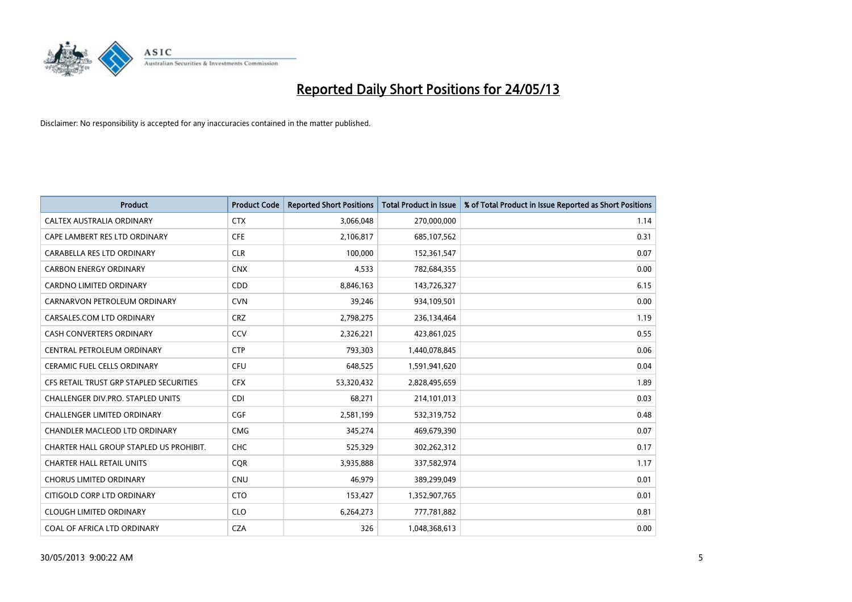

| <b>Product</b>                          | <b>Product Code</b> | <b>Reported Short Positions</b> | <b>Total Product in Issue</b> | % of Total Product in Issue Reported as Short Positions |
|-----------------------------------------|---------------------|---------------------------------|-------------------------------|---------------------------------------------------------|
| CALTEX AUSTRALIA ORDINARY               | <b>CTX</b>          | 3,066,048                       | 270,000,000                   | 1.14                                                    |
| CAPE LAMBERT RES LTD ORDINARY           | <b>CFE</b>          | 2,106,817                       | 685,107,562                   | 0.31                                                    |
| CARABELLA RES LTD ORDINARY              | <b>CLR</b>          | 100,000                         | 152,361,547                   | 0.07                                                    |
| <b>CARBON ENERGY ORDINARY</b>           | <b>CNX</b>          | 4,533                           | 782,684,355                   | 0.00                                                    |
| <b>CARDNO LIMITED ORDINARY</b>          | CDD                 | 8,846,163                       | 143,726,327                   | 6.15                                                    |
| CARNARVON PETROLEUM ORDINARY            | <b>CVN</b>          | 39,246                          | 934,109,501                   | 0.00                                                    |
| CARSALES.COM LTD ORDINARY               | <b>CRZ</b>          | 2,798,275                       | 236,134,464                   | 1.19                                                    |
| CASH CONVERTERS ORDINARY                | CCV                 | 2,326,221                       | 423,861,025                   | 0.55                                                    |
| CENTRAL PETROLEUM ORDINARY              | <b>CTP</b>          | 793,303                         | 1,440,078,845                 | 0.06                                                    |
| <b>CERAMIC FUEL CELLS ORDINARY</b>      | <b>CFU</b>          | 648,525                         | 1,591,941,620                 | 0.04                                                    |
| CFS RETAIL TRUST GRP STAPLED SECURITIES | <b>CFX</b>          | 53,320,432                      | 2,828,495,659                 | 1.89                                                    |
| CHALLENGER DIV.PRO. STAPLED UNITS       | <b>CDI</b>          | 68,271                          | 214,101,013                   | 0.03                                                    |
| <b>CHALLENGER LIMITED ORDINARY</b>      | <b>CGF</b>          | 2,581,199                       | 532,319,752                   | 0.48                                                    |
| CHANDLER MACLEOD LTD ORDINARY           | <b>CMG</b>          | 345,274                         | 469,679,390                   | 0.07                                                    |
| CHARTER HALL GROUP STAPLED US PROHIBIT. | CHC                 | 525,329                         | 302,262,312                   | 0.17                                                    |
| <b>CHARTER HALL RETAIL UNITS</b>        | <b>COR</b>          | 3,935,888                       | 337,582,974                   | 1.17                                                    |
| <b>CHORUS LIMITED ORDINARY</b>          | <b>CNU</b>          | 46,979                          | 389,299,049                   | 0.01                                                    |
| CITIGOLD CORP LTD ORDINARY              | <b>CTO</b>          | 153,427                         | 1,352,907,765                 | 0.01                                                    |
| <b>CLOUGH LIMITED ORDINARY</b>          | <b>CLO</b>          | 6,264,273                       | 777,781,882                   | 0.81                                                    |
| COAL OF AFRICA LTD ORDINARY             | <b>CZA</b>          | 326                             | 1,048,368,613                 | 0.00                                                    |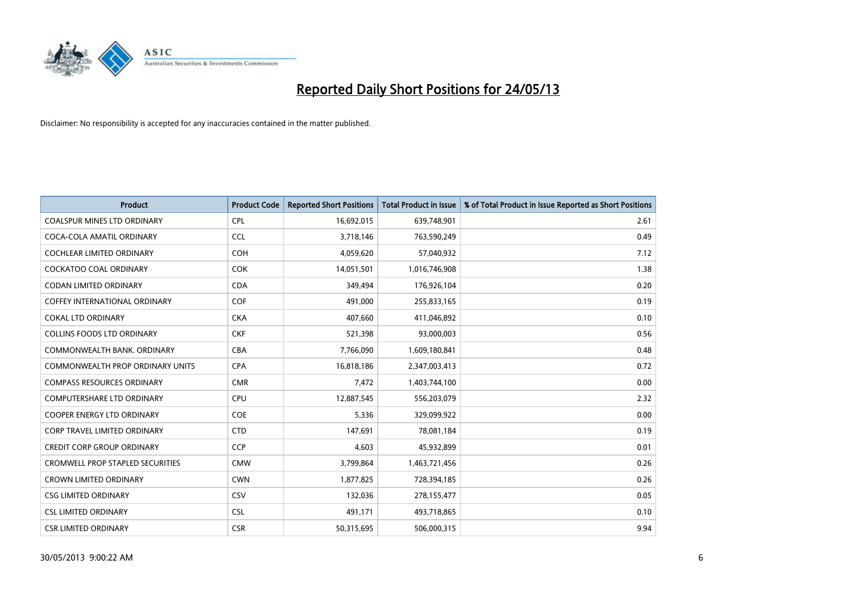

| <b>Product</b>                          | <b>Product Code</b> | <b>Reported Short Positions</b> | <b>Total Product in Issue</b> | % of Total Product in Issue Reported as Short Positions |
|-----------------------------------------|---------------------|---------------------------------|-------------------------------|---------------------------------------------------------|
| <b>COALSPUR MINES LTD ORDINARY</b>      | <b>CPL</b>          | 16,692,015                      | 639,748,901                   | 2.61                                                    |
| COCA-COLA AMATIL ORDINARY               | <b>CCL</b>          | 3,718,146                       | 763,590,249                   | 0.49                                                    |
| <b>COCHLEAR LIMITED ORDINARY</b>        | <b>COH</b>          | 4,059,620                       | 57,040,932                    | 7.12                                                    |
| COCKATOO COAL ORDINARY                  | <b>COK</b>          | 14,051,501                      | 1,016,746,908                 | 1.38                                                    |
| <b>CODAN LIMITED ORDINARY</b>           | <b>CDA</b>          | 349,494                         | 176,926,104                   | 0.20                                                    |
| <b>COFFEY INTERNATIONAL ORDINARY</b>    | COF                 | 491,000                         | 255,833,165                   | 0.19                                                    |
| <b>COKAL LTD ORDINARY</b>               | <b>CKA</b>          | 407,660                         | 411,046,892                   | 0.10                                                    |
| <b>COLLINS FOODS LTD ORDINARY</b>       | <b>CKF</b>          | 521,398                         | 93,000,003                    | 0.56                                                    |
| COMMONWEALTH BANK, ORDINARY             | <b>CBA</b>          | 7,766,090                       | 1,609,180,841                 | 0.48                                                    |
| COMMONWEALTH PROP ORDINARY UNITS        | <b>CPA</b>          | 16,818,186                      | 2,347,003,413                 | 0.72                                                    |
| <b>COMPASS RESOURCES ORDINARY</b>       | <b>CMR</b>          | 7,472                           | 1,403,744,100                 | 0.00                                                    |
| <b>COMPUTERSHARE LTD ORDINARY</b>       | <b>CPU</b>          | 12,887,545                      | 556,203,079                   | 2.32                                                    |
| COOPER ENERGY LTD ORDINARY              | <b>COE</b>          | 5,336                           | 329,099,922                   | 0.00                                                    |
| <b>CORP TRAVEL LIMITED ORDINARY</b>     | <b>CTD</b>          | 147,691                         | 78,081,184                    | 0.19                                                    |
| <b>CREDIT CORP GROUP ORDINARY</b>       | <b>CCP</b>          | 4,603                           | 45,932,899                    | 0.01                                                    |
| <b>CROMWELL PROP STAPLED SECURITIES</b> | <b>CMW</b>          | 3,799,864                       | 1,463,721,456                 | 0.26                                                    |
| <b>CROWN LIMITED ORDINARY</b>           | <b>CWN</b>          | 1,877,825                       | 728,394,185                   | 0.26                                                    |
| <b>CSG LIMITED ORDINARY</b>             | CSV                 | 132,036                         | 278,155,477                   | 0.05                                                    |
| <b>CSL LIMITED ORDINARY</b>             | <b>CSL</b>          | 491,171                         | 493,718,865                   | 0.10                                                    |
| <b>CSR LIMITED ORDINARY</b>             | <b>CSR</b>          | 50,315,695                      | 506,000,315                   | 9.94                                                    |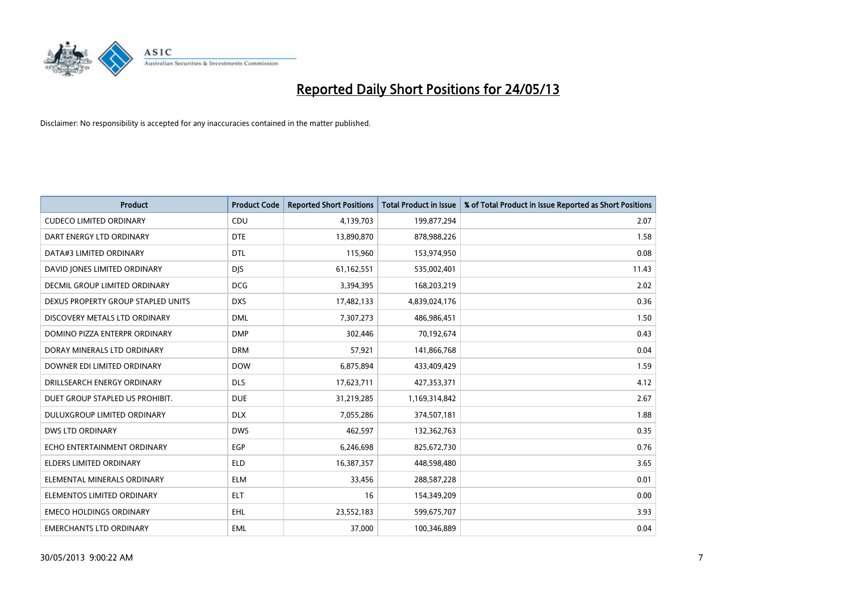

| <b>Product</b>                     | <b>Product Code</b> | <b>Reported Short Positions</b> | <b>Total Product in Issue</b> | % of Total Product in Issue Reported as Short Positions |
|------------------------------------|---------------------|---------------------------------|-------------------------------|---------------------------------------------------------|
| <b>CUDECO LIMITED ORDINARY</b>     | CDU                 | 4,139,703                       | 199,877,294                   | 2.07                                                    |
| DART ENERGY LTD ORDINARY           | <b>DTE</b>          | 13,890,870                      | 878,988,226                   | 1.58                                                    |
| DATA#3 LIMITED ORDINARY            | <b>DTL</b>          | 115,960                         | 153,974,950                   | 0.08                                                    |
| DAVID JONES LIMITED ORDINARY       | <b>DJS</b>          | 61,162,551                      | 535,002,401                   | 11.43                                                   |
| DECMIL GROUP LIMITED ORDINARY      | <b>DCG</b>          | 3,394,395                       | 168,203,219                   | 2.02                                                    |
| DEXUS PROPERTY GROUP STAPLED UNITS | <b>DXS</b>          | 17,482,133                      | 4,839,024,176                 | 0.36                                                    |
| DISCOVERY METALS LTD ORDINARY      | <b>DML</b>          | 7,307,273                       | 486,986,451                   | 1.50                                                    |
| DOMINO PIZZA ENTERPR ORDINARY      | <b>DMP</b>          | 302,446                         | 70,192,674                    | 0.43                                                    |
| DORAY MINERALS LTD ORDINARY        | <b>DRM</b>          | 57,921                          | 141,866,768                   | 0.04                                                    |
| DOWNER EDI LIMITED ORDINARY        | <b>DOW</b>          | 6,875,894                       | 433,409,429                   | 1.59                                                    |
| DRILLSEARCH ENERGY ORDINARY        | <b>DLS</b>          | 17,623,711                      | 427,353,371                   | 4.12                                                    |
| DUET GROUP STAPLED US PROHIBIT.    | <b>DUE</b>          | 31,219,285                      | 1,169,314,842                 | 2.67                                                    |
| DULUXGROUP LIMITED ORDINARY        | <b>DLX</b>          | 7,055,286                       | 374,507,181                   | 1.88                                                    |
| <b>DWS LTD ORDINARY</b>            | <b>DWS</b>          | 462,597                         | 132,362,763                   | 0.35                                                    |
| ECHO ENTERTAINMENT ORDINARY        | EGP                 | 6,246,698                       | 825,672,730                   | 0.76                                                    |
| ELDERS LIMITED ORDINARY            | <b>ELD</b>          | 16,387,357                      | 448,598,480                   | 3.65                                                    |
| ELEMENTAL MINERALS ORDINARY        | <b>ELM</b>          | 33,456                          | 288,587,228                   | 0.01                                                    |
| ELEMENTOS LIMITED ORDINARY         | <b>ELT</b>          | 16                              | 154,349,209                   | 0.00                                                    |
| <b>EMECO HOLDINGS ORDINARY</b>     | <b>EHL</b>          | 23,552,183                      | 599,675,707                   | 3.93                                                    |
| <b>EMERCHANTS LTD ORDINARY</b>     | <b>EML</b>          | 37,000                          | 100,346,889                   | 0.04                                                    |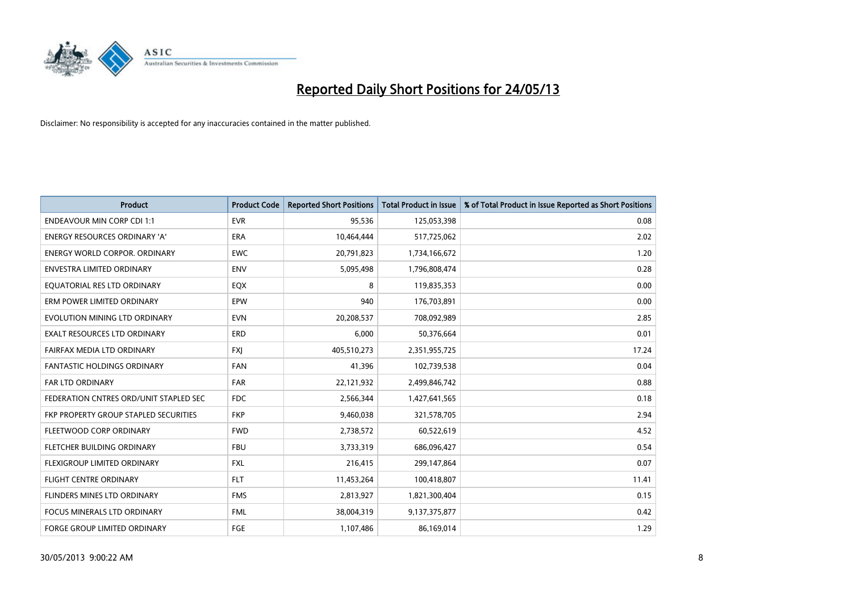

| <b>Product</b>                         | <b>Product Code</b> | <b>Reported Short Positions</b> | <b>Total Product in Issue</b> | % of Total Product in Issue Reported as Short Positions |
|----------------------------------------|---------------------|---------------------------------|-------------------------------|---------------------------------------------------------|
| <b>ENDEAVOUR MIN CORP CDI 1:1</b>      | <b>EVR</b>          | 95,536                          | 125,053,398                   | 0.08                                                    |
| ENERGY RESOURCES ORDINARY 'A'          | ERA                 | 10,464,444                      | 517,725,062                   | 2.02                                                    |
| <b>ENERGY WORLD CORPOR, ORDINARY</b>   | <b>EWC</b>          | 20,791,823                      | 1,734,166,672                 | 1.20                                                    |
| ENVESTRA LIMITED ORDINARY              | <b>ENV</b>          | 5,095,498                       | 1,796,808,474                 | 0.28                                                    |
| EQUATORIAL RES LTD ORDINARY            | EQX                 | 8                               | 119,835,353                   | 0.00                                                    |
| ERM POWER LIMITED ORDINARY             | EPW                 | 940                             | 176,703,891                   | 0.00                                                    |
| EVOLUTION MINING LTD ORDINARY          | <b>EVN</b>          | 20,208,537                      | 708,092,989                   | 2.85                                                    |
| EXALT RESOURCES LTD ORDINARY           | ERD                 | 6,000                           | 50,376,664                    | 0.01                                                    |
| FAIRFAX MEDIA LTD ORDINARY             | <b>FXI</b>          | 405,510,273                     | 2,351,955,725                 | 17.24                                                   |
| <b>FANTASTIC HOLDINGS ORDINARY</b>     | <b>FAN</b>          | 41,396                          | 102,739,538                   | 0.04                                                    |
| FAR LTD ORDINARY                       | <b>FAR</b>          | 22,121,932                      | 2,499,846,742                 | 0.88                                                    |
| FEDERATION CNTRES ORD/UNIT STAPLED SEC | <b>FDC</b>          | 2,566,344                       | 1,427,641,565                 | 0.18                                                    |
| FKP PROPERTY GROUP STAPLED SECURITIES  | <b>FKP</b>          | 9,460,038                       | 321,578,705                   | 2.94                                                    |
| FLEETWOOD CORP ORDINARY                | <b>FWD</b>          | 2,738,572                       | 60,522,619                    | 4.52                                                    |
| FLETCHER BUILDING ORDINARY             | <b>FBU</b>          | 3,733,319                       | 686,096,427                   | 0.54                                                    |
| FLEXIGROUP LIMITED ORDINARY            | <b>FXL</b>          | 216,415                         | 299,147,864                   | 0.07                                                    |
| FLIGHT CENTRE ORDINARY                 | <b>FLT</b>          | 11,453,264                      | 100,418,807                   | 11.41                                                   |
| FLINDERS MINES LTD ORDINARY            | <b>FMS</b>          | 2,813,927                       | 1,821,300,404                 | 0.15                                                    |
| <b>FOCUS MINERALS LTD ORDINARY</b>     | <b>FML</b>          | 38,004,319                      | 9,137,375,877                 | 0.42                                                    |
| FORGE GROUP LIMITED ORDINARY           | FGE                 | 1,107,486                       | 86,169,014                    | 1.29                                                    |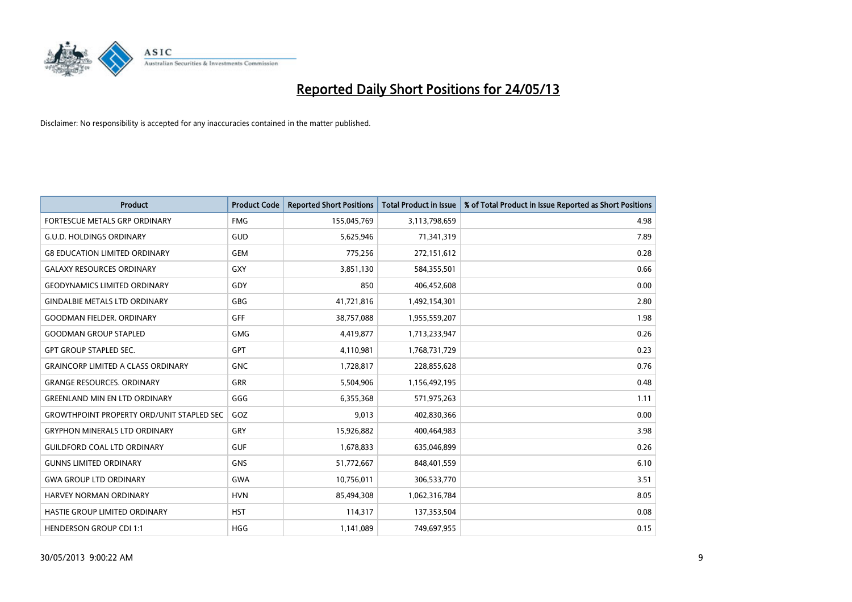

| <b>Product</b>                                   | <b>Product Code</b> | <b>Reported Short Positions</b> | <b>Total Product in Issue</b> | % of Total Product in Issue Reported as Short Positions |
|--------------------------------------------------|---------------------|---------------------------------|-------------------------------|---------------------------------------------------------|
| <b>FORTESCUE METALS GRP ORDINARY</b>             | <b>FMG</b>          | 155,045,769                     | 3,113,798,659                 | 4.98                                                    |
| G.U.D. HOLDINGS ORDINARY                         | GUD                 | 5,625,946                       | 71,341,319                    | 7.89                                                    |
| <b>G8 EDUCATION LIMITED ORDINARY</b>             | <b>GEM</b>          | 775,256                         | 272,151,612                   | 0.28                                                    |
| <b>GALAXY RESOURCES ORDINARY</b>                 | GXY                 | 3,851,130                       | 584,355,501                   | 0.66                                                    |
| <b>GEODYNAMICS LIMITED ORDINARY</b>              | GDY                 | 850                             | 406,452,608                   | 0.00                                                    |
| <b>GINDALBIE METALS LTD ORDINARY</b>             | GBG                 | 41,721,816                      | 1,492,154,301                 | 2.80                                                    |
| <b>GOODMAN FIELDER. ORDINARY</b>                 | <b>GFF</b>          | 38,757,088                      | 1,955,559,207                 | 1.98                                                    |
| <b>GOODMAN GROUP STAPLED</b>                     | GMG                 | 4,419,877                       | 1,713,233,947                 | 0.26                                                    |
| <b>GPT GROUP STAPLED SEC.</b>                    | GPT                 | 4,110,981                       | 1,768,731,729                 | 0.23                                                    |
| <b>GRAINCORP LIMITED A CLASS ORDINARY</b>        | <b>GNC</b>          | 1,728,817                       | 228,855,628                   | 0.76                                                    |
| <b>GRANGE RESOURCES. ORDINARY</b>                | GRR                 | 5,504,906                       | 1,156,492,195                 | 0.48                                                    |
| <b>GREENLAND MIN EN LTD ORDINARY</b>             | GGG                 | 6,355,368                       | 571,975,263                   | 1.11                                                    |
| <b>GROWTHPOINT PROPERTY ORD/UNIT STAPLED SEC</b> | GOZ                 | 9,013                           | 402,830,366                   | 0.00                                                    |
| <b>GRYPHON MINERALS LTD ORDINARY</b>             | GRY                 | 15,926,882                      | 400,464,983                   | 3.98                                                    |
| <b>GUILDFORD COAL LTD ORDINARY</b>               | <b>GUF</b>          | 1,678,833                       | 635,046,899                   | 0.26                                                    |
| <b>GUNNS LIMITED ORDINARY</b>                    | GNS                 | 51,772,667                      | 848,401,559                   | 6.10                                                    |
| <b>GWA GROUP LTD ORDINARY</b>                    | <b>GWA</b>          | 10,756,011                      | 306,533,770                   | 3.51                                                    |
| <b>HARVEY NORMAN ORDINARY</b>                    | <b>HVN</b>          | 85,494,308                      | 1,062,316,784                 | 8.05                                                    |
| HASTIE GROUP LIMITED ORDINARY                    | <b>HST</b>          | 114,317                         | 137,353,504                   | 0.08                                                    |
| <b>HENDERSON GROUP CDI 1:1</b>                   | <b>HGG</b>          | 1,141,089                       | 749,697,955                   | 0.15                                                    |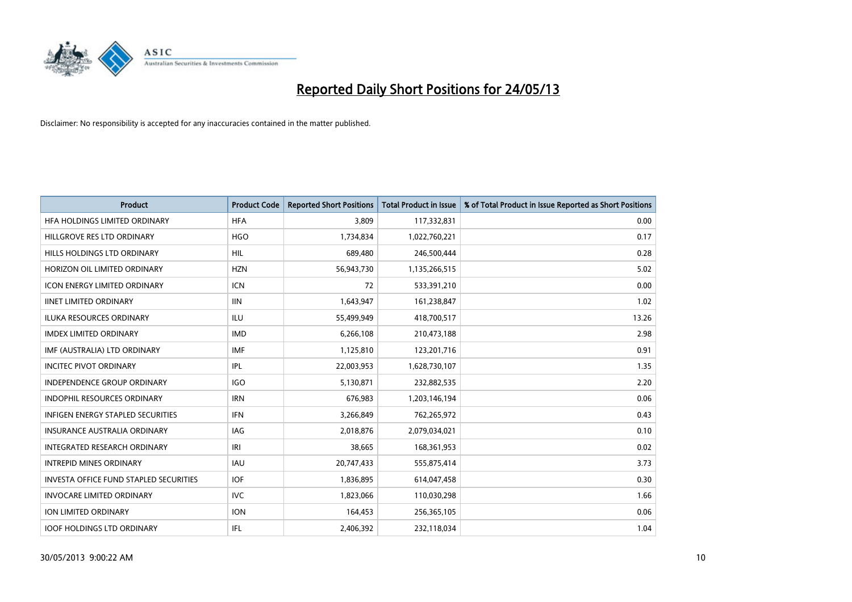

| <b>Product</b>                         | <b>Product Code</b> | <b>Reported Short Positions</b> | <b>Total Product in Issue</b> | % of Total Product in Issue Reported as Short Positions |
|----------------------------------------|---------------------|---------------------------------|-------------------------------|---------------------------------------------------------|
| HFA HOLDINGS LIMITED ORDINARY          | <b>HFA</b>          | 3,809                           | 117,332,831                   | 0.00                                                    |
| HILLGROVE RES LTD ORDINARY             | <b>HGO</b>          | 1,734,834                       | 1,022,760,221                 | 0.17                                                    |
| HILLS HOLDINGS LTD ORDINARY            | <b>HIL</b>          | 689,480                         | 246,500,444                   | 0.28                                                    |
| HORIZON OIL LIMITED ORDINARY           | <b>HZN</b>          | 56,943,730                      | 1,135,266,515                 | 5.02                                                    |
| <b>ICON ENERGY LIMITED ORDINARY</b>    | <b>ICN</b>          | 72                              | 533,391,210                   | 0.00                                                    |
| <b>IINET LIMITED ORDINARY</b>          | <b>IIN</b>          | 1,643,947                       | 161,238,847                   | 1.02                                                    |
| <b>ILUKA RESOURCES ORDINARY</b>        | ILU                 | 55,499,949                      | 418,700,517                   | 13.26                                                   |
| <b>IMDEX LIMITED ORDINARY</b>          | <b>IMD</b>          | 6,266,108                       | 210,473,188                   | 2.98                                                    |
| IMF (AUSTRALIA) LTD ORDINARY           | <b>IMF</b>          | 1,125,810                       | 123,201,716                   | 0.91                                                    |
| <b>INCITEC PIVOT ORDINARY</b>          | IPL                 | 22,003,953                      | 1,628,730,107                 | 1.35                                                    |
| INDEPENDENCE GROUP ORDINARY            | <b>IGO</b>          | 5,130,871                       | 232,882,535                   | 2.20                                                    |
| <b>INDOPHIL RESOURCES ORDINARY</b>     | <b>IRN</b>          | 676,983                         | 1,203,146,194                 | 0.06                                                    |
| INFIGEN ENERGY STAPLED SECURITIES      | <b>IFN</b>          | 3,266,849                       | 762,265,972                   | 0.43                                                    |
| <b>INSURANCE AUSTRALIA ORDINARY</b>    | IAG                 | 2,018,876                       | 2,079,034,021                 | 0.10                                                    |
| INTEGRATED RESEARCH ORDINARY           | IRI                 | 38,665                          | 168,361,953                   | 0.02                                                    |
| <b>INTREPID MINES ORDINARY</b>         | <b>IAU</b>          | 20,747,433                      | 555,875,414                   | 3.73                                                    |
| INVESTA OFFICE FUND STAPLED SECURITIES | <b>IOF</b>          | 1,836,895                       | 614,047,458                   | 0.30                                                    |
| <b>INVOCARE LIMITED ORDINARY</b>       | IVC.                | 1,823,066                       | 110,030,298                   | 1.66                                                    |
| <b>ION LIMITED ORDINARY</b>            | <b>ION</b>          | 164,453                         | 256,365,105                   | 0.06                                                    |
| <b>IOOF HOLDINGS LTD ORDINARY</b>      | IFL                 | 2,406,392                       | 232,118,034                   | 1.04                                                    |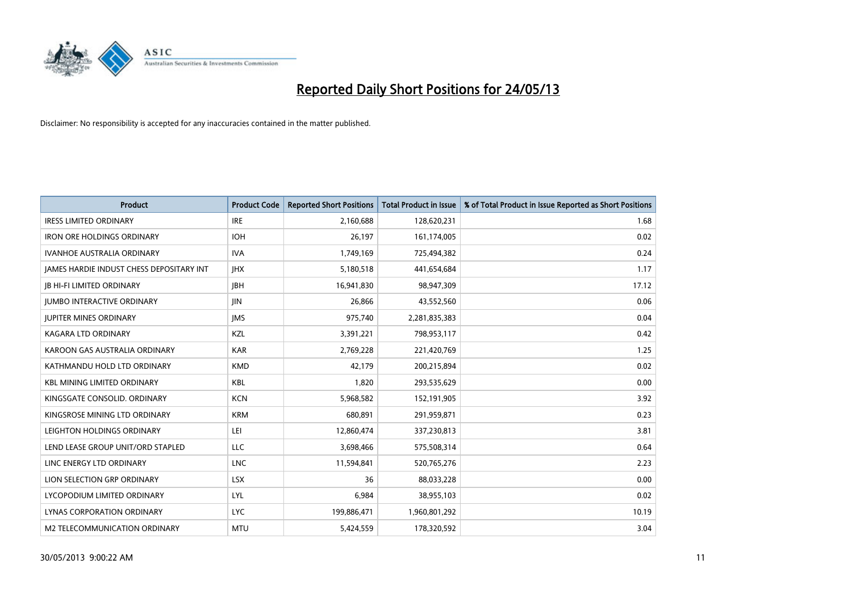

| <b>Product</b>                           | <b>Product Code</b> | <b>Reported Short Positions</b> | <b>Total Product in Issue</b> | % of Total Product in Issue Reported as Short Positions |
|------------------------------------------|---------------------|---------------------------------|-------------------------------|---------------------------------------------------------|
| <b>IRESS LIMITED ORDINARY</b>            | <b>IRE</b>          | 2,160,688                       | 128,620,231                   | 1.68                                                    |
| <b>IRON ORE HOLDINGS ORDINARY</b>        | <b>IOH</b>          | 26,197                          | 161,174,005                   | 0.02                                                    |
| <b>IVANHOE AUSTRALIA ORDINARY</b>        | <b>IVA</b>          | 1,749,169                       | 725,494,382                   | 0.24                                                    |
| JAMES HARDIE INDUST CHESS DEPOSITARY INT | <b>IHX</b>          | 5,180,518                       | 441,654,684                   | 1.17                                                    |
| <b>JB HI-FI LIMITED ORDINARY</b>         | <b>IBH</b>          | 16,941,830                      | 98,947,309                    | 17.12                                                   |
| <b>JUMBO INTERACTIVE ORDINARY</b>        | JIN.                | 26,866                          | 43,552,560                    | 0.06                                                    |
| <b>JUPITER MINES ORDINARY</b>            | <b>IMS</b>          | 975,740                         | 2,281,835,383                 | 0.04                                                    |
| <b>KAGARA LTD ORDINARY</b>               | KZL                 | 3,391,221                       | 798,953,117                   | 0.42                                                    |
| KAROON GAS AUSTRALIA ORDINARY            | <b>KAR</b>          | 2,769,228                       | 221,420,769                   | 1.25                                                    |
| KATHMANDU HOLD LTD ORDINARY              | <b>KMD</b>          | 42,179                          | 200,215,894                   | 0.02                                                    |
| <b>KBL MINING LIMITED ORDINARY</b>       | <b>KBL</b>          | 1,820                           | 293,535,629                   | 0.00                                                    |
| KINGSGATE CONSOLID. ORDINARY             | <b>KCN</b>          | 5,968,582                       | 152,191,905                   | 3.92                                                    |
| KINGSROSE MINING LTD ORDINARY            | <b>KRM</b>          | 680,891                         | 291,959,871                   | 0.23                                                    |
| LEIGHTON HOLDINGS ORDINARY               | LEI                 | 12,860,474                      | 337,230,813                   | 3.81                                                    |
| LEND LEASE GROUP UNIT/ORD STAPLED        | <b>LLC</b>          | 3,698,466                       | 575,508,314                   | 0.64                                                    |
| LINC ENERGY LTD ORDINARY                 | <b>LNC</b>          | 11,594,841                      | 520,765,276                   | 2.23                                                    |
| LION SELECTION GRP ORDINARY              | <b>LSX</b>          | 36                              | 88,033,228                    | 0.00                                                    |
| LYCOPODIUM LIMITED ORDINARY              | <b>LYL</b>          | 6,984                           | 38,955,103                    | 0.02                                                    |
| LYNAS CORPORATION ORDINARY               | <b>LYC</b>          | 199,886,471                     | 1,960,801,292                 | 10.19                                                   |
| M2 TELECOMMUNICATION ORDINARY            | <b>MTU</b>          | 5,424,559                       | 178,320,592                   | 3.04                                                    |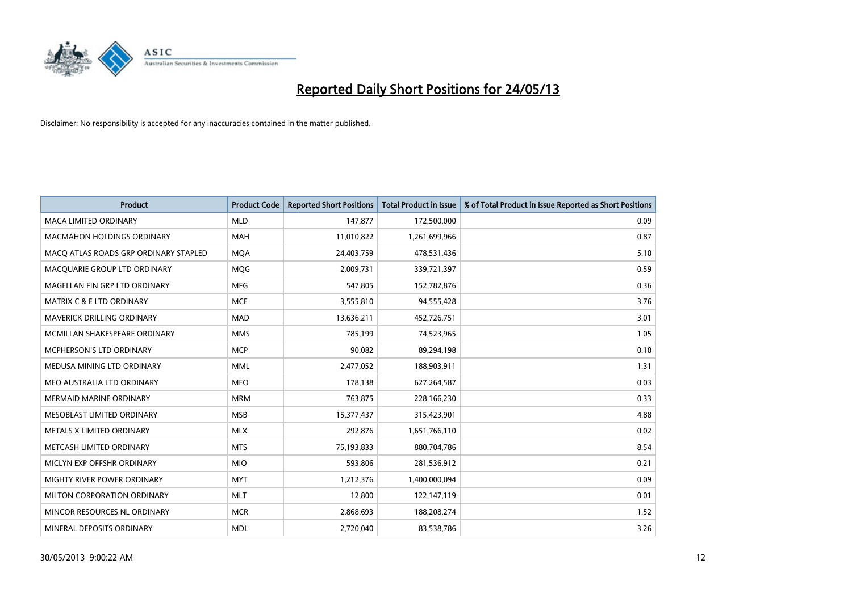

| <b>Product</b>                        | <b>Product Code</b> | <b>Reported Short Positions</b> | <b>Total Product in Issue</b> | % of Total Product in Issue Reported as Short Positions |
|---------------------------------------|---------------------|---------------------------------|-------------------------------|---------------------------------------------------------|
| <b>MACA LIMITED ORDINARY</b>          | <b>MLD</b>          | 147,877                         | 172,500,000                   | 0.09                                                    |
| <b>MACMAHON HOLDINGS ORDINARY</b>     | <b>MAH</b>          | 11,010,822                      | 1,261,699,966                 | 0.87                                                    |
| MACO ATLAS ROADS GRP ORDINARY STAPLED | <b>MQA</b>          | 24,403,759                      | 478,531,436                   | 5.10                                                    |
| MACQUARIE GROUP LTD ORDINARY          | <b>MOG</b>          | 2,009,731                       | 339,721,397                   | 0.59                                                    |
| MAGELLAN FIN GRP LTD ORDINARY         | <b>MFG</b>          | 547,805                         | 152,782,876                   | 0.36                                                    |
| <b>MATRIX C &amp; E LTD ORDINARY</b>  | <b>MCE</b>          | 3,555,810                       | 94,555,428                    | 3.76                                                    |
| <b>MAVERICK DRILLING ORDINARY</b>     | <b>MAD</b>          | 13,636,211                      | 452,726,751                   | 3.01                                                    |
| MCMILLAN SHAKESPEARE ORDINARY         | <b>MMS</b>          | 785,199                         | 74,523,965                    | 1.05                                                    |
| MCPHERSON'S LTD ORDINARY              | <b>MCP</b>          | 90,082                          | 89,294,198                    | 0.10                                                    |
| MEDUSA MINING LTD ORDINARY            | <b>MML</b>          | 2,477,052                       | 188,903,911                   | 1.31                                                    |
| MEO AUSTRALIA LTD ORDINARY            | <b>MEO</b>          | 178,138                         | 627,264,587                   | 0.03                                                    |
| MERMAID MARINE ORDINARY               | <b>MRM</b>          | 763,875                         | 228,166,230                   | 0.33                                                    |
| MESOBLAST LIMITED ORDINARY            | <b>MSB</b>          | 15,377,437                      | 315,423,901                   | 4.88                                                    |
| METALS X LIMITED ORDINARY             | <b>MLX</b>          | 292,876                         | 1,651,766,110                 | 0.02                                                    |
| METCASH LIMITED ORDINARY              | <b>MTS</b>          | 75,193,833                      | 880,704,786                   | 8.54                                                    |
| MICLYN EXP OFFSHR ORDINARY            | <b>MIO</b>          | 593,806                         | 281,536,912                   | 0.21                                                    |
| MIGHTY RIVER POWER ORDINARY           | <b>MYT</b>          | 1,212,376                       | 1,400,000,094                 | 0.09                                                    |
| MILTON CORPORATION ORDINARY           | <b>MLT</b>          | 12,800                          | 122,147,119                   | 0.01                                                    |
| MINCOR RESOURCES NL ORDINARY          | <b>MCR</b>          | 2,868,693                       | 188,208,274                   | 1.52                                                    |
| MINERAL DEPOSITS ORDINARY             | <b>MDL</b>          | 2,720,040                       | 83,538,786                    | 3.26                                                    |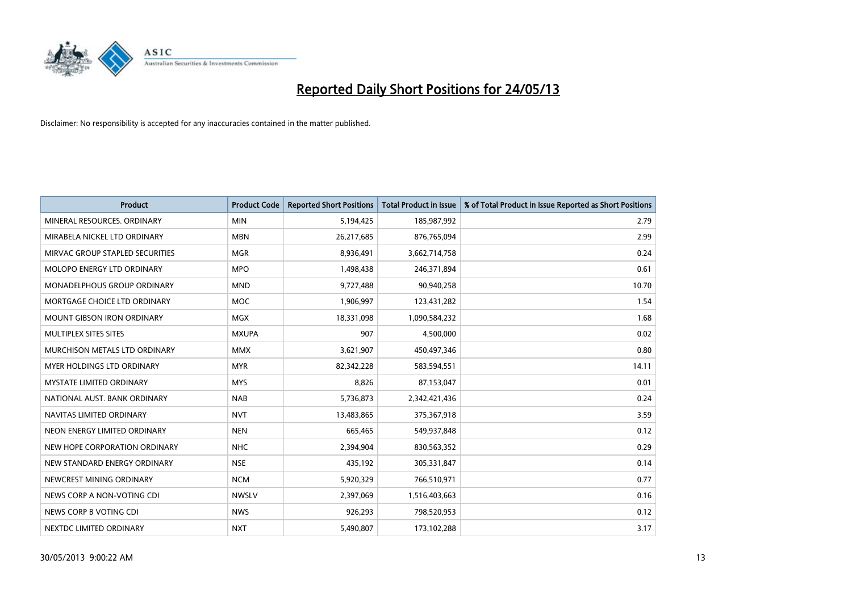

| <b>Product</b>                     | <b>Product Code</b> | <b>Reported Short Positions</b> | <b>Total Product in Issue</b> | % of Total Product in Issue Reported as Short Positions |
|------------------------------------|---------------------|---------------------------------|-------------------------------|---------------------------------------------------------|
| MINERAL RESOURCES, ORDINARY        | <b>MIN</b>          | 5,194,425                       | 185,987,992                   | 2.79                                                    |
| MIRABELA NICKEL LTD ORDINARY       | <b>MBN</b>          | 26,217,685                      | 876,765,094                   | 2.99                                                    |
| MIRVAC GROUP STAPLED SECURITIES    | <b>MGR</b>          | 8,936,491                       | 3,662,714,758                 | 0.24                                                    |
| MOLOPO ENERGY LTD ORDINARY         | <b>MPO</b>          | 1,498,438                       | 246,371,894                   | 0.61                                                    |
| <b>MONADELPHOUS GROUP ORDINARY</b> | <b>MND</b>          | 9,727,488                       | 90,940,258                    | 10.70                                                   |
| MORTGAGE CHOICE LTD ORDINARY       | MOC                 | 1,906,997                       | 123,431,282                   | 1.54                                                    |
| <b>MOUNT GIBSON IRON ORDINARY</b>  | <b>MGX</b>          | 18,331,098                      | 1,090,584,232                 | 1.68                                                    |
| MULTIPLEX SITES SITES              | <b>MXUPA</b>        | 907                             | 4,500,000                     | 0.02                                                    |
| MURCHISON METALS LTD ORDINARY      | <b>MMX</b>          | 3,621,907                       | 450,497,346                   | 0.80                                                    |
| <b>MYER HOLDINGS LTD ORDINARY</b>  | <b>MYR</b>          | 82,342,228                      | 583,594,551                   | 14.11                                                   |
| <b>MYSTATE LIMITED ORDINARY</b>    | <b>MYS</b>          | 8,826                           | 87,153,047                    | 0.01                                                    |
| NATIONAL AUST, BANK ORDINARY       | <b>NAB</b>          | 5,736,873                       | 2,342,421,436                 | 0.24                                                    |
| NAVITAS LIMITED ORDINARY           | <b>NVT</b>          | 13,483,865                      | 375,367,918                   | 3.59                                                    |
| NEON ENERGY LIMITED ORDINARY       | <b>NEN</b>          | 665,465                         | 549,937,848                   | 0.12                                                    |
| NEW HOPE CORPORATION ORDINARY      | <b>NHC</b>          | 2,394,904                       | 830,563,352                   | 0.29                                                    |
| NEW STANDARD ENERGY ORDINARY       | <b>NSE</b>          | 435,192                         | 305,331,847                   | 0.14                                                    |
| NEWCREST MINING ORDINARY           | <b>NCM</b>          | 5,920,329                       | 766,510,971                   | 0.77                                                    |
| NEWS CORP A NON-VOTING CDI         | <b>NWSLV</b>        | 2,397,069                       | 1,516,403,663                 | 0.16                                                    |
| NEWS CORP B VOTING CDI             | <b>NWS</b>          | 926,293                         | 798,520,953                   | 0.12                                                    |
| NEXTDC LIMITED ORDINARY            | <b>NXT</b>          | 5,490,807                       | 173,102,288                   | 3.17                                                    |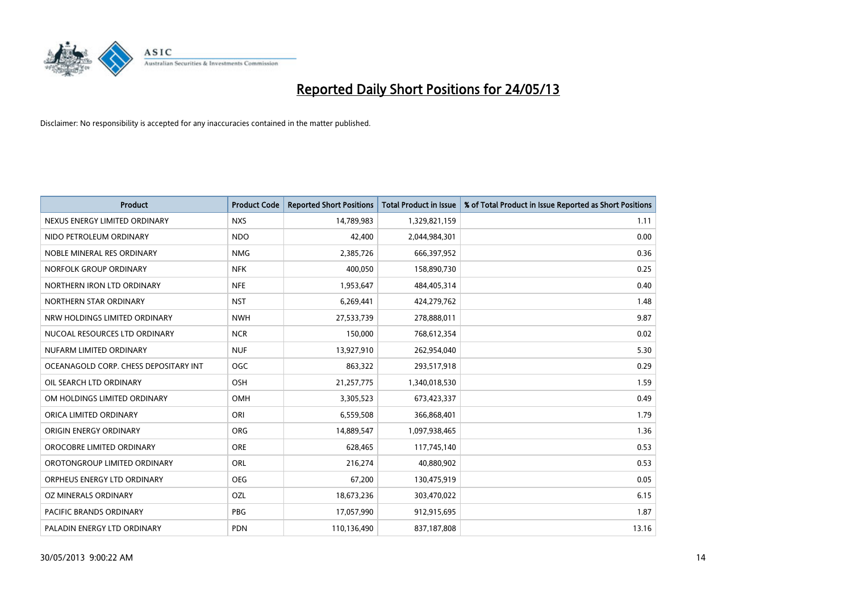

| <b>Product</b>                        | <b>Product Code</b> | <b>Reported Short Positions</b> | <b>Total Product in Issue</b> | % of Total Product in Issue Reported as Short Positions |
|---------------------------------------|---------------------|---------------------------------|-------------------------------|---------------------------------------------------------|
| NEXUS ENERGY LIMITED ORDINARY         | <b>NXS</b>          | 14,789,983                      | 1,329,821,159                 | 1.11                                                    |
| NIDO PETROLEUM ORDINARY               | <b>NDO</b>          | 42,400                          | 2,044,984,301                 | 0.00                                                    |
| NOBLE MINERAL RES ORDINARY            | <b>NMG</b>          | 2,385,726                       | 666,397,952                   | 0.36                                                    |
| NORFOLK GROUP ORDINARY                | <b>NFK</b>          | 400,050                         | 158,890,730                   | 0.25                                                    |
| NORTHERN IRON LTD ORDINARY            | <b>NFE</b>          | 1,953,647                       | 484,405,314                   | 0.40                                                    |
| NORTHERN STAR ORDINARY                | <b>NST</b>          | 6,269,441                       | 424,279,762                   | 1.48                                                    |
| NRW HOLDINGS LIMITED ORDINARY         | <b>NWH</b>          | 27,533,739                      | 278,888,011                   | 9.87                                                    |
| NUCOAL RESOURCES LTD ORDINARY         | <b>NCR</b>          | 150,000                         | 768,612,354                   | 0.02                                                    |
| NUFARM LIMITED ORDINARY               | <b>NUF</b>          | 13,927,910                      | 262,954,040                   | 5.30                                                    |
| OCEANAGOLD CORP. CHESS DEPOSITARY INT | <b>OGC</b>          | 863,322                         | 293,517,918                   | 0.29                                                    |
| OIL SEARCH LTD ORDINARY               | OSH                 | 21,257,775                      | 1,340,018,530                 | 1.59                                                    |
| OM HOLDINGS LIMITED ORDINARY          | OMH                 | 3,305,523                       | 673,423,337                   | 0.49                                                    |
| ORICA LIMITED ORDINARY                | ORI                 | 6,559,508                       | 366,868,401                   | 1.79                                                    |
| ORIGIN ENERGY ORDINARY                | <b>ORG</b>          | 14,889,547                      | 1,097,938,465                 | 1.36                                                    |
| OROCOBRE LIMITED ORDINARY             | <b>ORE</b>          | 628,465                         | 117,745,140                   | 0.53                                                    |
| OROTONGROUP LIMITED ORDINARY          | ORL                 | 216,274                         | 40,880,902                    | 0.53                                                    |
| ORPHEUS ENERGY LTD ORDINARY           | <b>OEG</b>          | 67,200                          | 130,475,919                   | 0.05                                                    |
| <b>OZ MINERALS ORDINARY</b>           | OZL                 | 18,673,236                      | 303,470,022                   | 6.15                                                    |
| <b>PACIFIC BRANDS ORDINARY</b>        | <b>PBG</b>          | 17,057,990                      | 912,915,695                   | 1.87                                                    |
| PALADIN ENERGY LTD ORDINARY           | <b>PDN</b>          | 110,136,490                     | 837,187,808                   | 13.16                                                   |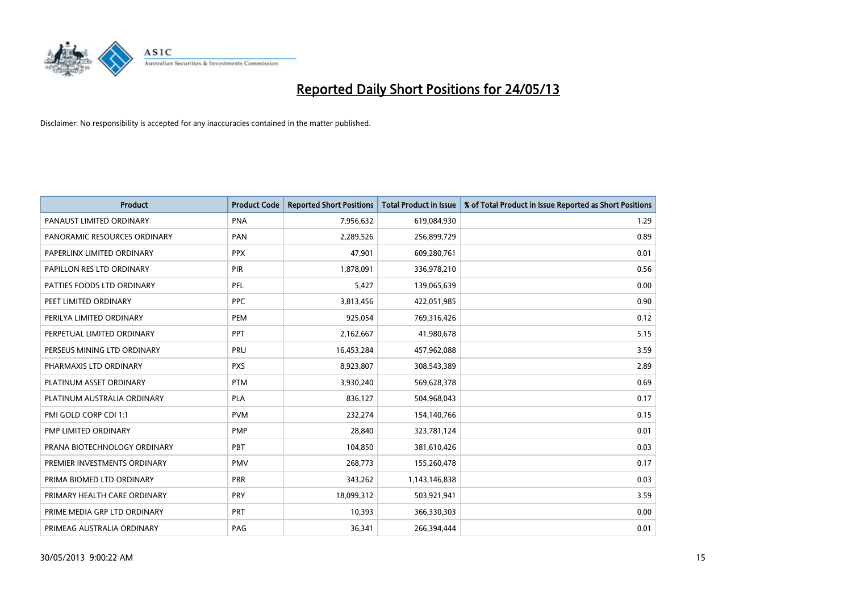

| <b>Product</b>               | <b>Product Code</b> | <b>Reported Short Positions</b> | <b>Total Product in Issue</b> | % of Total Product in Issue Reported as Short Positions |
|------------------------------|---------------------|---------------------------------|-------------------------------|---------------------------------------------------------|
| PANAUST LIMITED ORDINARY     | <b>PNA</b>          | 7,956,632                       | 619,084,930                   | 1.29                                                    |
| PANORAMIC RESOURCES ORDINARY | <b>PAN</b>          | 2,289,526                       | 256,899,729                   | 0.89                                                    |
| PAPERLINX LIMITED ORDINARY   | <b>PPX</b>          | 47,901                          | 609,280,761                   | 0.01                                                    |
| PAPILLON RES LTD ORDINARY    | <b>PIR</b>          | 1,878,091                       | 336,978,210                   | 0.56                                                    |
| PATTIES FOODS LTD ORDINARY   | PFL                 | 5,427                           | 139,065,639                   | 0.00                                                    |
| PEET LIMITED ORDINARY        | <b>PPC</b>          | 3,813,456                       | 422,051,985                   | 0.90                                                    |
| PERILYA LIMITED ORDINARY     | <b>PEM</b>          | 925,054                         | 769,316,426                   | 0.12                                                    |
| PERPETUAL LIMITED ORDINARY   | PPT                 | 2,162,667                       | 41,980,678                    | 5.15                                                    |
| PERSEUS MINING LTD ORDINARY  | PRU                 | 16,453,284                      | 457,962,088                   | 3.59                                                    |
| PHARMAXIS LTD ORDINARY       | <b>PXS</b>          | 8,923,807                       | 308,543,389                   | 2.89                                                    |
| PLATINUM ASSET ORDINARY      | <b>PTM</b>          | 3,930,240                       | 569,628,378                   | 0.69                                                    |
| PLATINUM AUSTRALIA ORDINARY  | <b>PLA</b>          | 836,127                         | 504,968,043                   | 0.17                                                    |
| PMI GOLD CORP CDI 1:1        | <b>PVM</b>          | 232,274                         | 154,140,766                   | 0.15                                                    |
| PMP LIMITED ORDINARY         | <b>PMP</b>          | 28,840                          | 323,781,124                   | 0.01                                                    |
| PRANA BIOTECHNOLOGY ORDINARY | <b>PBT</b>          | 104,850                         | 381,610,426                   | 0.03                                                    |
| PREMIER INVESTMENTS ORDINARY | <b>PMV</b>          | 268,773                         | 155,260,478                   | 0.17                                                    |
| PRIMA BIOMED LTD ORDINARY    | <b>PRR</b>          | 343,262                         | 1,143,146,838                 | 0.03                                                    |
| PRIMARY HEALTH CARE ORDINARY | PRY                 | 18,099,312                      | 503,921,941                   | 3.59                                                    |
| PRIME MEDIA GRP LTD ORDINARY | <b>PRT</b>          | 10,393                          | 366,330,303                   | 0.00                                                    |
| PRIMEAG AUSTRALIA ORDINARY   | PAG                 | 36,341                          | 266,394,444                   | 0.01                                                    |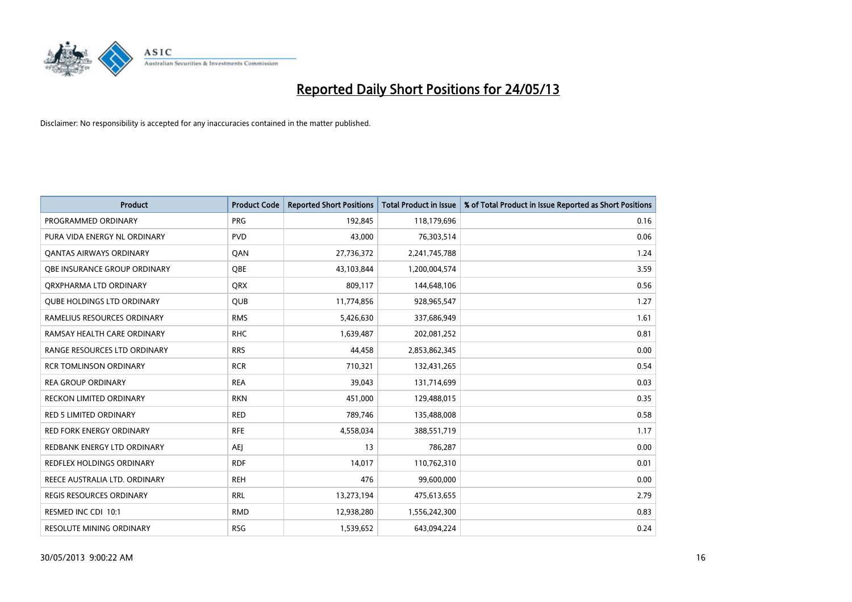

| <b>Product</b>                    | <b>Product Code</b> | <b>Reported Short Positions</b> | <b>Total Product in Issue</b> | % of Total Product in Issue Reported as Short Positions |
|-----------------------------------|---------------------|---------------------------------|-------------------------------|---------------------------------------------------------|
| PROGRAMMED ORDINARY               | <b>PRG</b>          | 192,845                         | 118,179,696                   | 0.16                                                    |
| PURA VIDA ENERGY NL ORDINARY      | <b>PVD</b>          | 43,000                          | 76,303,514                    | 0.06                                                    |
| <b>QANTAS AIRWAYS ORDINARY</b>    | QAN                 | 27,736,372                      | 2,241,745,788                 | 1.24                                                    |
| OBE INSURANCE GROUP ORDINARY      | <b>OBE</b>          | 43,103,844                      | 1,200,004,574                 | 3.59                                                    |
| ORXPHARMA LTD ORDINARY            | <b>QRX</b>          | 809,117                         | 144,648,106                   | 0.56                                                    |
| <b>QUBE HOLDINGS LTD ORDINARY</b> | <b>QUB</b>          | 11,774,856                      | 928,965,547                   | 1.27                                                    |
| RAMELIUS RESOURCES ORDINARY       | <b>RMS</b>          | 5,426,630                       | 337,686,949                   | 1.61                                                    |
| RAMSAY HEALTH CARE ORDINARY       | <b>RHC</b>          | 1,639,487                       | 202,081,252                   | 0.81                                                    |
| RANGE RESOURCES LTD ORDINARY      | <b>RRS</b>          | 44,458                          | 2,853,862,345                 | 0.00                                                    |
| <b>RCR TOMLINSON ORDINARY</b>     | <b>RCR</b>          | 710,321                         | 132,431,265                   | 0.54                                                    |
| <b>REA GROUP ORDINARY</b>         | <b>REA</b>          | 39,043                          | 131,714,699                   | 0.03                                                    |
| <b>RECKON LIMITED ORDINARY</b>    | <b>RKN</b>          | 451,000                         | 129,488,015                   | 0.35                                                    |
| <b>RED 5 LIMITED ORDINARY</b>     | <b>RED</b>          | 789,746                         | 135,488,008                   | 0.58                                                    |
| <b>RED FORK ENERGY ORDINARY</b>   | <b>RFE</b>          | 4,558,034                       | 388,551,719                   | 1.17                                                    |
| REDBANK ENERGY LTD ORDINARY       | <b>AEJ</b>          | 13                              | 786,287                       | 0.00                                                    |
| <b>REDFLEX HOLDINGS ORDINARY</b>  | <b>RDF</b>          | 14,017                          | 110,762,310                   | 0.01                                                    |
| REECE AUSTRALIA LTD. ORDINARY     | <b>REH</b>          | 476                             | 99,600,000                    | 0.00                                                    |
| <b>REGIS RESOURCES ORDINARY</b>   | <b>RRL</b>          | 13,273,194                      | 475,613,655                   | 2.79                                                    |
| RESMED INC CDI 10:1               | <b>RMD</b>          | 12,938,280                      | 1,556,242,300                 | 0.83                                                    |
| <b>RESOLUTE MINING ORDINARY</b>   | <b>RSG</b>          | 1,539,652                       | 643,094,224                   | 0.24                                                    |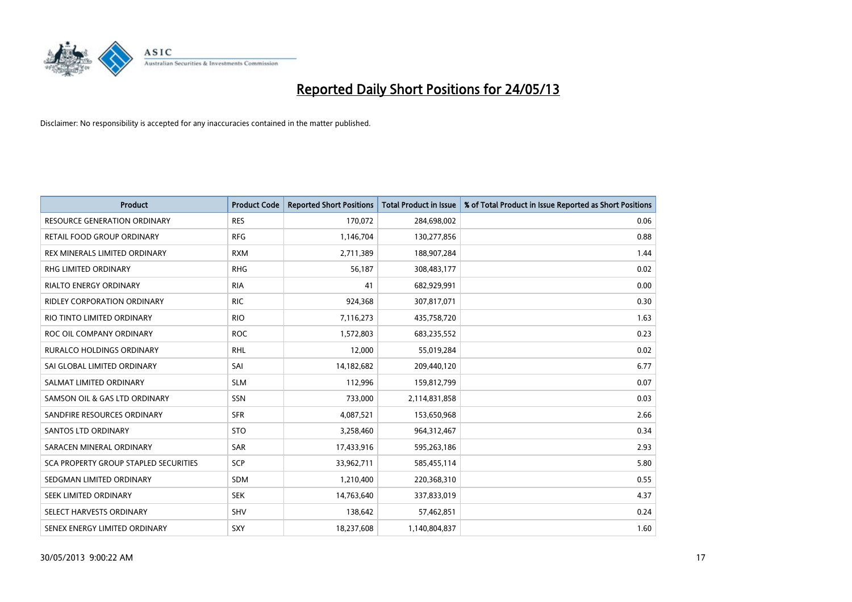

| <b>Product</b>                               | <b>Product Code</b> | <b>Reported Short Positions</b> | <b>Total Product in Issue</b> | % of Total Product in Issue Reported as Short Positions |
|----------------------------------------------|---------------------|---------------------------------|-------------------------------|---------------------------------------------------------|
| <b>RESOURCE GENERATION ORDINARY</b>          | <b>RES</b>          | 170,072                         | 284,698,002                   | 0.06                                                    |
| RETAIL FOOD GROUP ORDINARY                   | <b>RFG</b>          | 1,146,704                       | 130,277,856                   | 0.88                                                    |
| REX MINERALS LIMITED ORDINARY                | <b>RXM</b>          | 2,711,389                       | 188,907,284                   | 1.44                                                    |
| RHG LIMITED ORDINARY                         | <b>RHG</b>          | 56,187                          | 308,483,177                   | 0.02                                                    |
| <b>RIALTO ENERGY ORDINARY</b>                | <b>RIA</b>          | 41                              | 682,929,991                   | 0.00                                                    |
| <b>RIDLEY CORPORATION ORDINARY</b>           | <b>RIC</b>          | 924,368                         | 307,817,071                   | 0.30                                                    |
| RIO TINTO LIMITED ORDINARY                   | <b>RIO</b>          | 7,116,273                       | 435,758,720                   | 1.63                                                    |
| ROC OIL COMPANY ORDINARY                     | <b>ROC</b>          | 1,572,803                       | 683,235,552                   | 0.23                                                    |
| <b>RURALCO HOLDINGS ORDINARY</b>             | <b>RHL</b>          | 12,000                          | 55,019,284                    | 0.02                                                    |
| SAI GLOBAL LIMITED ORDINARY                  | SAI                 | 14,182,682                      | 209,440,120                   | 6.77                                                    |
| SALMAT LIMITED ORDINARY                      | <b>SLM</b>          | 112,996                         | 159,812,799                   | 0.07                                                    |
| SAMSON OIL & GAS LTD ORDINARY                | SSN                 | 733,000                         | 2,114,831,858                 | 0.03                                                    |
| SANDFIRE RESOURCES ORDINARY                  | <b>SFR</b>          | 4,087,521                       | 153,650,968                   | 2.66                                                    |
| <b>SANTOS LTD ORDINARY</b>                   | <b>STO</b>          | 3,258,460                       | 964,312,467                   | 0.34                                                    |
| SARACEN MINERAL ORDINARY                     | SAR                 | 17,433,916                      | 595,263,186                   | 2.93                                                    |
| <b>SCA PROPERTY GROUP STAPLED SECURITIES</b> | SCP                 | 33,962,711                      | 585,455,114                   | 5.80                                                    |
| SEDGMAN LIMITED ORDINARY                     | SDM                 | 1,210,400                       | 220,368,310                   | 0.55                                                    |
| SEEK LIMITED ORDINARY                        | <b>SEK</b>          | 14,763,640                      | 337,833,019                   | 4.37                                                    |
| SELECT HARVESTS ORDINARY                     | SHV                 | 138,642                         | 57,462,851                    | 0.24                                                    |
| SENEX ENERGY LIMITED ORDINARY                | SXY                 | 18,237,608                      | 1,140,804,837                 | 1.60                                                    |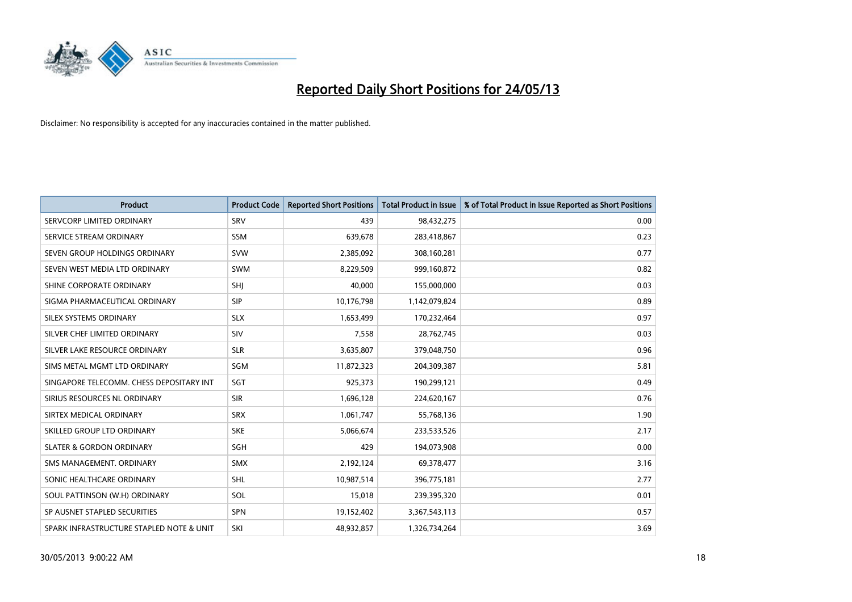

| <b>Product</b>                           | <b>Product Code</b> | <b>Reported Short Positions</b> | <b>Total Product in Issue</b> | % of Total Product in Issue Reported as Short Positions |
|------------------------------------------|---------------------|---------------------------------|-------------------------------|---------------------------------------------------------|
| SERVCORP LIMITED ORDINARY                | SRV                 | 439                             | 98,432,275                    | 0.00                                                    |
| SERVICE STREAM ORDINARY                  | SSM                 | 639,678                         | 283,418,867                   | 0.23                                                    |
| SEVEN GROUP HOLDINGS ORDINARY            | <b>SVW</b>          | 2,385,092                       | 308,160,281                   | 0.77                                                    |
| SEVEN WEST MEDIA LTD ORDINARY            | <b>SWM</b>          | 8,229,509                       | 999,160,872                   | 0.82                                                    |
| SHINE CORPORATE ORDINARY                 | SHI                 | 40,000                          | 155,000,000                   | 0.03                                                    |
| SIGMA PHARMACEUTICAL ORDINARY            | <b>SIP</b>          | 10,176,798                      | 1,142,079,824                 | 0.89                                                    |
| SILEX SYSTEMS ORDINARY                   | <b>SLX</b>          | 1,653,499                       | 170,232,464                   | 0.97                                                    |
| SILVER CHEF LIMITED ORDINARY             | SIV                 | 7,558                           | 28,762,745                    | 0.03                                                    |
| SILVER LAKE RESOURCE ORDINARY            | <b>SLR</b>          | 3,635,807                       | 379,048,750                   | 0.96                                                    |
| SIMS METAL MGMT LTD ORDINARY             | SGM                 | 11,872,323                      | 204,309,387                   | 5.81                                                    |
| SINGAPORE TELECOMM. CHESS DEPOSITARY INT | SGT                 | 925,373                         | 190,299,121                   | 0.49                                                    |
| SIRIUS RESOURCES NL ORDINARY             | <b>SIR</b>          | 1,696,128                       | 224,620,167                   | 0.76                                                    |
| SIRTEX MEDICAL ORDINARY                  | <b>SRX</b>          | 1,061,747                       | 55,768,136                    | 1.90                                                    |
| SKILLED GROUP LTD ORDINARY               | <b>SKE</b>          | 5,066,674                       | 233,533,526                   | 2.17                                                    |
| <b>SLATER &amp; GORDON ORDINARY</b>      | SGH                 | 429                             | 194,073,908                   | 0.00                                                    |
| SMS MANAGEMENT. ORDINARY                 | <b>SMX</b>          | 2,192,124                       | 69,378,477                    | 3.16                                                    |
| SONIC HEALTHCARE ORDINARY                | <b>SHL</b>          | 10,987,514                      | 396,775,181                   | 2.77                                                    |
| SOUL PATTINSON (W.H) ORDINARY            | SOL                 | 15,018                          | 239,395,320                   | 0.01                                                    |
| SP AUSNET STAPLED SECURITIES             | <b>SPN</b>          | 19,152,402                      | 3,367,543,113                 | 0.57                                                    |
| SPARK INFRASTRUCTURE STAPLED NOTE & UNIT | SKI                 | 48,932,857                      | 1,326,734,264                 | 3.69                                                    |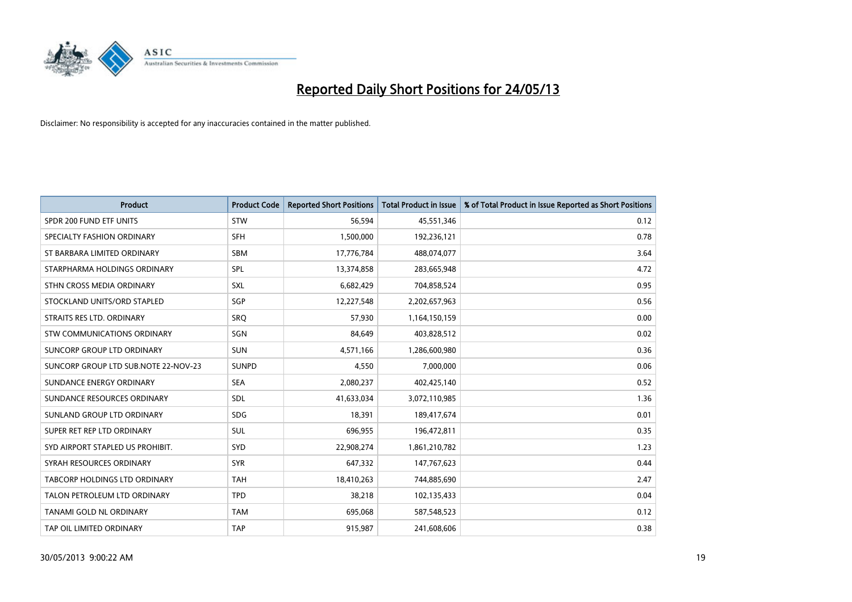

| <b>Product</b>                       | <b>Product Code</b> | <b>Reported Short Positions</b> | <b>Total Product in Issue</b> | % of Total Product in Issue Reported as Short Positions |
|--------------------------------------|---------------------|---------------------------------|-------------------------------|---------------------------------------------------------|
| SPDR 200 FUND ETF UNITS              | <b>STW</b>          | 56,594                          | 45,551,346                    | 0.12                                                    |
| SPECIALTY FASHION ORDINARY           | <b>SFH</b>          | 1,500,000                       | 192,236,121                   | 0.78                                                    |
| ST BARBARA LIMITED ORDINARY          | <b>SBM</b>          | 17,776,784                      | 488,074,077                   | 3.64                                                    |
| STARPHARMA HOLDINGS ORDINARY         | SPL                 | 13,374,858                      | 283,665,948                   | 4.72                                                    |
| STHN CROSS MEDIA ORDINARY            | SXL                 | 6,682,429                       | 704,858,524                   | 0.95                                                    |
| STOCKLAND UNITS/ORD STAPLED          | SGP                 | 12,227,548                      | 2,202,657,963                 | 0.56                                                    |
| STRAITS RES LTD. ORDINARY            | <b>SRQ</b>          | 57,930                          | 1,164,150,159                 | 0.00                                                    |
| STW COMMUNICATIONS ORDINARY          | SGN                 | 84,649                          | 403,828,512                   | 0.02                                                    |
| SUNCORP GROUP LTD ORDINARY           | <b>SUN</b>          | 4,571,166                       | 1,286,600,980                 | 0.36                                                    |
| SUNCORP GROUP LTD SUB.NOTE 22-NOV-23 | <b>SUNPD</b>        | 4,550                           | 7,000,000                     | 0.06                                                    |
| SUNDANCE ENERGY ORDINARY             | <b>SEA</b>          | 2,080,237                       | 402,425,140                   | 0.52                                                    |
| SUNDANCE RESOURCES ORDINARY          | <b>SDL</b>          | 41,633,034                      | 3,072,110,985                 | 1.36                                                    |
| SUNLAND GROUP LTD ORDINARY           | <b>SDG</b>          | 18,391                          | 189,417,674                   | 0.01                                                    |
| SUPER RET REP LTD ORDINARY           | SUL                 | 696,955                         | 196,472,811                   | 0.35                                                    |
| SYD AIRPORT STAPLED US PROHIBIT.     | SYD                 | 22,908,274                      | 1,861,210,782                 | 1.23                                                    |
| SYRAH RESOURCES ORDINARY             | <b>SYR</b>          | 647,332                         | 147,767,623                   | 0.44                                                    |
| TABCORP HOLDINGS LTD ORDINARY        | <b>TAH</b>          | 18,410,263                      | 744,885,690                   | 2.47                                                    |
| TALON PETROLEUM LTD ORDINARY         | <b>TPD</b>          | 38,218                          | 102,135,433                   | 0.04                                                    |
| <b>TANAMI GOLD NL ORDINARY</b>       | <b>TAM</b>          | 695,068                         | 587,548,523                   | 0.12                                                    |
| TAP OIL LIMITED ORDINARY             | <b>TAP</b>          | 915,987                         | 241,608,606                   | 0.38                                                    |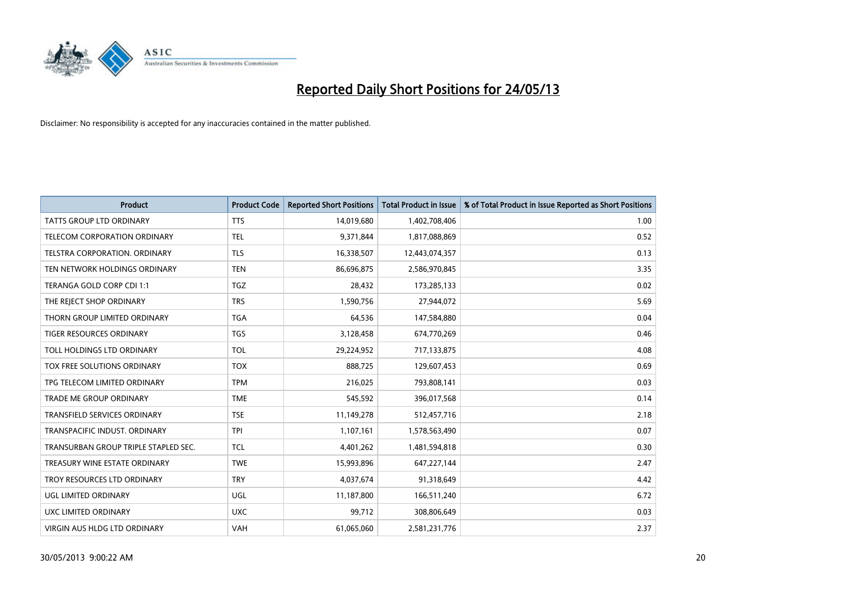

| <b>Product</b>                       | <b>Product Code</b> | <b>Reported Short Positions</b> | <b>Total Product in Issue</b> | % of Total Product in Issue Reported as Short Positions |
|--------------------------------------|---------------------|---------------------------------|-------------------------------|---------------------------------------------------------|
| <b>TATTS GROUP LTD ORDINARY</b>      | <b>TTS</b>          | 14,019,680                      | 1,402,708,406                 | 1.00                                                    |
| TELECOM CORPORATION ORDINARY         | <b>TEL</b>          | 9,371,844                       | 1,817,088,869                 | 0.52                                                    |
| <b>TELSTRA CORPORATION, ORDINARY</b> | <b>TLS</b>          | 16,338,507                      | 12,443,074,357                | 0.13                                                    |
| TEN NETWORK HOLDINGS ORDINARY        | <b>TEN</b>          | 86,696,875                      | 2,586,970,845                 | 3.35                                                    |
| TERANGA GOLD CORP CDI 1:1            | TGZ                 | 28,432                          | 173,285,133                   | 0.02                                                    |
| THE REJECT SHOP ORDINARY             | <b>TRS</b>          | 1,590,756                       | 27,944,072                    | 5.69                                                    |
| THORN GROUP LIMITED ORDINARY         | <b>TGA</b>          | 64,536                          | 147,584,880                   | 0.04                                                    |
| TIGER RESOURCES ORDINARY             | <b>TGS</b>          | 3,128,458                       | 674,770,269                   | 0.46                                                    |
| TOLL HOLDINGS LTD ORDINARY           | <b>TOL</b>          | 29,224,952                      | 717,133,875                   | 4.08                                                    |
| TOX FREE SOLUTIONS ORDINARY          | <b>TOX</b>          | 888,725                         | 129,607,453                   | 0.69                                                    |
| TPG TELECOM LIMITED ORDINARY         | <b>TPM</b>          | 216,025                         | 793,808,141                   | 0.03                                                    |
| <b>TRADE ME GROUP ORDINARY</b>       | <b>TME</b>          | 545,592                         | 396,017,568                   | 0.14                                                    |
| <b>TRANSFIELD SERVICES ORDINARY</b>  | <b>TSE</b>          | 11,149,278                      | 512,457,716                   | 2.18                                                    |
| TRANSPACIFIC INDUST, ORDINARY        | <b>TPI</b>          | 1,107,161                       | 1,578,563,490                 | 0.07                                                    |
| TRANSURBAN GROUP TRIPLE STAPLED SEC. | <b>TCL</b>          | 4,401,262                       | 1,481,594,818                 | 0.30                                                    |
| TREASURY WINE ESTATE ORDINARY        | <b>TWE</b>          | 15,993,896                      | 647,227,144                   | 2.47                                                    |
| TROY RESOURCES LTD ORDINARY          | <b>TRY</b>          | 4,037,674                       | 91,318,649                    | 4.42                                                    |
| UGL LIMITED ORDINARY                 | UGL                 | 11,187,800                      | 166,511,240                   | 6.72                                                    |
| UXC LIMITED ORDINARY                 | <b>UXC</b>          | 99,712                          | 308,806,649                   | 0.03                                                    |
| VIRGIN AUS HLDG LTD ORDINARY         | VAH                 | 61,065,060                      | 2,581,231,776                 | 2.37                                                    |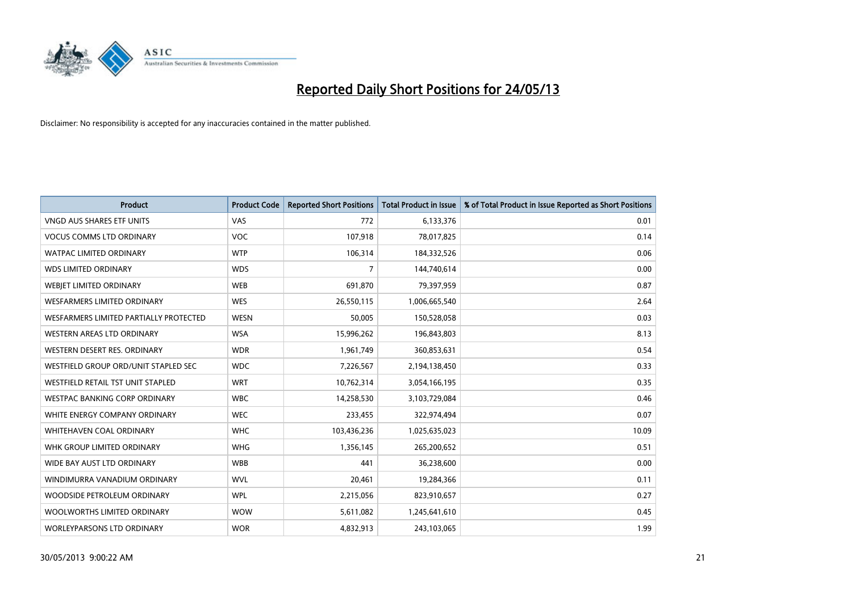

| <b>Product</b>                         | <b>Product Code</b> | <b>Reported Short Positions</b> | <b>Total Product in Issue</b> | % of Total Product in Issue Reported as Short Positions |
|----------------------------------------|---------------------|---------------------------------|-------------------------------|---------------------------------------------------------|
| <b>VNGD AUS SHARES ETF UNITS</b>       | VAS                 | 772                             | 6,133,376                     | 0.01                                                    |
| <b>VOCUS COMMS LTD ORDINARY</b>        | VOC                 | 107,918                         | 78,017,825                    | 0.14                                                    |
| <b>WATPAC LIMITED ORDINARY</b>         | <b>WTP</b>          | 106,314                         | 184,332,526                   | 0.06                                                    |
| <b>WDS LIMITED ORDINARY</b>            | <b>WDS</b>          | 7                               | 144,740,614                   | 0.00                                                    |
| <b>WEBJET LIMITED ORDINARY</b>         | <b>WEB</b>          | 691,870                         | 79,397,959                    | 0.87                                                    |
| WESFARMERS LIMITED ORDINARY            | <b>WES</b>          | 26,550,115                      | 1,006,665,540                 | 2.64                                                    |
| WESFARMERS LIMITED PARTIALLY PROTECTED | <b>WESN</b>         | 50,005                          | 150,528,058                   | 0.03                                                    |
| WESTERN AREAS LTD ORDINARY             | <b>WSA</b>          | 15,996,262                      | 196,843,803                   | 8.13                                                    |
| WESTERN DESERT RES. ORDINARY           | <b>WDR</b>          | 1,961,749                       | 360,853,631                   | 0.54                                                    |
| WESTFIELD GROUP ORD/UNIT STAPLED SEC   | <b>WDC</b>          | 7,226,567                       | 2,194,138,450                 | 0.33                                                    |
| WESTFIELD RETAIL TST UNIT STAPLED      | <b>WRT</b>          | 10,762,314                      | 3,054,166,195                 | 0.35                                                    |
| <b>WESTPAC BANKING CORP ORDINARY</b>   | <b>WBC</b>          | 14,258,530                      | 3,103,729,084                 | 0.46                                                    |
| WHITE ENERGY COMPANY ORDINARY          | <b>WEC</b>          | 233,455                         | 322,974,494                   | 0.07                                                    |
| WHITEHAVEN COAL ORDINARY               | <b>WHC</b>          | 103,436,236                     | 1,025,635,023                 | 10.09                                                   |
| WHK GROUP LIMITED ORDINARY             | <b>WHG</b>          | 1,356,145                       | 265,200,652                   | 0.51                                                    |
| WIDE BAY AUST LTD ORDINARY             | <b>WBB</b>          | 441                             | 36,238,600                    | 0.00                                                    |
| WINDIMURRA VANADIUM ORDINARY           | <b>WVL</b>          | 20,461                          | 19,284,366                    | 0.11                                                    |
| WOODSIDE PETROLEUM ORDINARY            | <b>WPL</b>          | 2,215,056                       | 823,910,657                   | 0.27                                                    |
| WOOLWORTHS LIMITED ORDINARY            | <b>WOW</b>          | 5,611,082                       | 1,245,641,610                 | 0.45                                                    |
| <b>WORLEYPARSONS LTD ORDINARY</b>      | <b>WOR</b>          | 4,832,913                       | 243,103,065                   | 1.99                                                    |